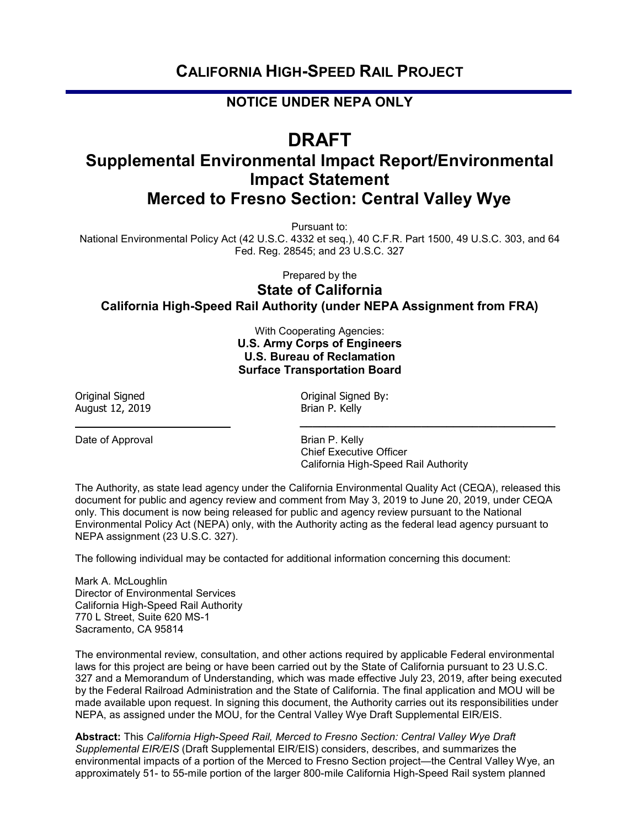### **CALIFORNIA HIGH-SPEED RAIL PROJECT**

#### **NOTICE UNDER NEPA ONLY**

# **DRAFT**

## **Supplemental Environmental Impact Report/Environmental Impact Statement Merced to Fresno Section: Central Valley Wye**

Pursuant to:

National Environmental Policy Act (42 U.S.C. 4332 et seq.), 40 C.F.R. Part 1500, 49 U.S.C. 303, and 64 Fed. Reg. 28545; and 23 U.S.C. 327

Prepared by the

#### **State of California California High-Speed Rail Authority (under NEPA Assignment from FRA)**

With Cooperating Agencies: **U.S. Army Corps of Engineers U.S. Bureau of Reclamation Surface Transportation Board**

 **\_\_\_\_\_\_\_\_\_\_\_\_\_\_\_\_\_\_\_\_\_\_\_\_\_\_\_\_\_\_\_\_\_\_\_\_\_\_\_\_**

August 12, 2019

Date of Approval Brian P. Kelly

Original Signed<br>
August 12, 2019<br>
August 12, 2019

 Chief Executive Officer California High-Speed Rail Authority

The Authority, as state lead agency under the California Environmental Quality Act (CEQA), released this document for public and agency review and comment from May 3, 2019 to June 20, 2019, under CEQA only. This document is now being released for public and agency review pursuant to the National Environmental Policy Act (NEPA) only, with the Authority acting as the federal lead agency pursuant to NEPA assignment (23 U.S.C. 327).

The following individual may be contacted for additional information concerning this document:

Mark A. McLoughlin Director of Environmental Services California High-Speed Rail Authority 770 L Street, Suite 620 MS-1 Sacramento, CA 95814

The environmental review, consultation, and other actions required by applicable Federal environmental laws for this project are being or have been carried out by the State of California pursuant to 23 U.S.C. 327 and a Memorandum of Understanding, which was made effective July 23, 2019, after being executed by the Federal Railroad Administration and the State of California. The final application and MOU will be made available upon request. In signing this document, the Authority carries out its responsibilities under NEPA, as assigned under the MOU, for the Central Valley Wye Draft Supplemental EIR/EIS.

**Abstract:** This *California High-Speed Rail, Merced to Fresno Section: Central Valley Wye Draft Supplemental EIR/EIS* (Draft Supplemental EIR/EIS) considers, describes, and summarizes the environmental impacts of a portion of the Merced to Fresno Section project—the Central Valley Wye, an approximately 51- to 55-mile portion of the larger 800-mile California High-Speed Rail system planned